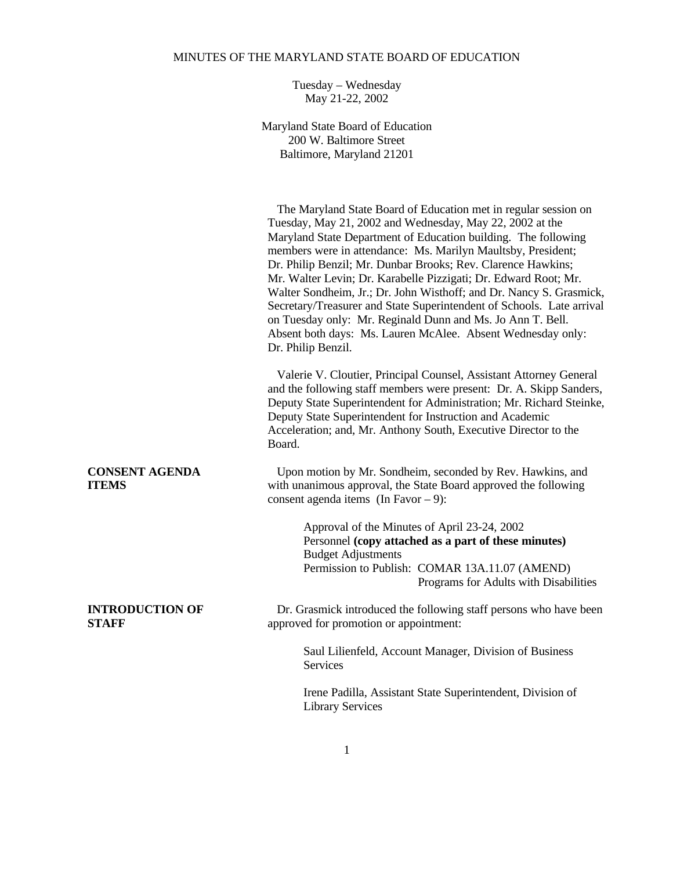## MINUTES OF THE MARYLAND STATE BOARD OF EDUCATION

Tuesday – Wednesday May 21-22, 2002

Maryland State Board of Education 200 W. Baltimore Street Baltimore, Maryland 21201

 The Maryland State Board of Education met in regular session on Tuesday, May 21, 2002 and Wednesday, May 22, 2002 at the Maryland State Department of Education building. The following members were in attendance: Ms. Marilyn Maultsby, President; Dr. Philip Benzil; Mr. Dunbar Brooks; Rev. Clarence Hawkins; Mr. Walter Levin; Dr. Karabelle Pizzigati; Dr. Edward Root; Mr. Walter Sondheim, Jr.; Dr. John Wisthoff; and Dr. Nancy S. Grasmick, Secretary/Treasurer and State Superintendent of Schools. Late arrival on Tuesday only: Mr. Reginald Dunn and Ms. Jo Ann T. Bell. Absent both days: Ms. Lauren McAlee. Absent Wednesday only: Dr. Philip Benzil.

 Valerie V. Cloutier, Principal Counsel, Assistant Attorney General and the following staff members were present: Dr. A. Skipp Sanders, Deputy State Superintendent for Administration; Mr. Richard Steinke, Deputy State Superintendent for Instruction and Academic Acceleration; and, Mr. Anthony South, Executive Director to the Board.

# **CONSENT AGENDA** Upon motion by Mr. Sondheim, seconded by Rev. Hawkins, and **ITEMS** with unanimous approval, the State Board approved the following consent agenda items (In Favor – 9):

Approval of the Minutes of April 23-24, 2002 Personnel **(copy attached as a part of these minutes)** Budget Adjustments Permission to Publish: COMAR 13A.11.07 (AMEND) Programs for Adults with Disabilities

**INTRODUCTION OF** Dr. Grasmick introduced the following staff persons who have been **STAFF** approved for promotion or appointment:

> Saul Lilienfeld, Account Manager, Division of Business Services

Irene Padilla, Assistant State Superintendent, Division of Library Services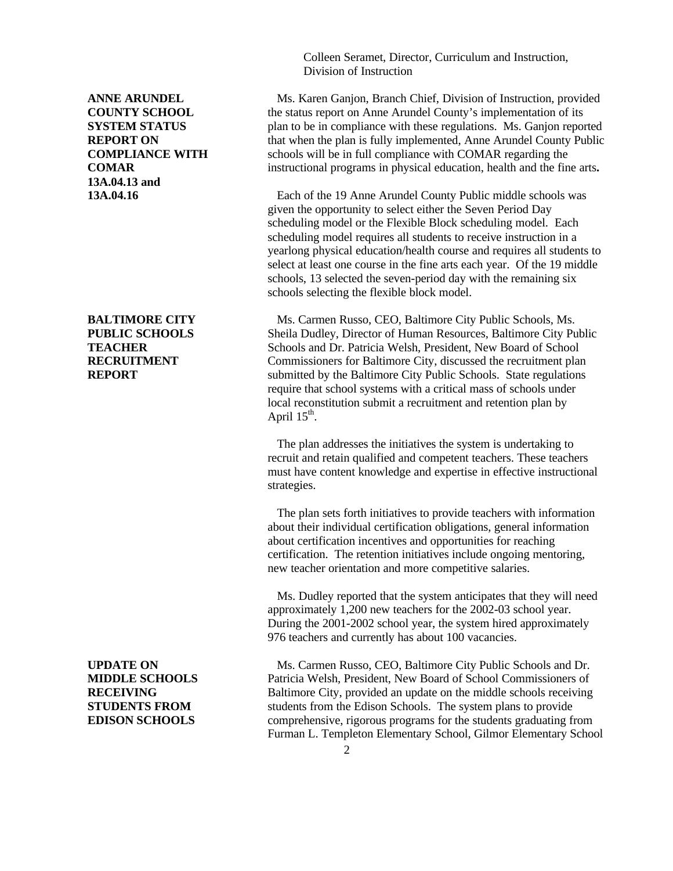Colleen Seramet, Director, Curriculum and Instruction, Division of Instruction

**ANNE ARUNDEL** Ms. Karen Ganjon, Branch Chief, Division of Instruction, provided **COUNTY SCHOOL** the status report on Anne Arundel County's implementation of its **SYSTEM STATUS** plan to be in compliance with these regulations. Ms. Ganjon reported **REPORT ON** that when the plan is fully implemented, Anne Arundel County Public **COMPLIANCE WITH** schools will be in full compliance with COMAR regarding the **COMAR** instructional programs in physical education, health and the fine arts**.**

**13A.04.16 Each of the 19 Anne Arundel County Public middle schools was** given the opportunity to select either the Seven Period Day scheduling model or the Flexible Block scheduling model. Each scheduling model requires all students to receive instruction in a yearlong physical education/health course and requires all students to select at least one course in the fine arts each year. Of the 19 middle schools, 13 selected the seven-period day with the remaining six schools selecting the flexible block model.

**BALTIMORE CITY** Ms. Carmen Russo, CEO, Baltimore City Public Schools, Ms. **PUBLIC SCHOOLS** Sheila Dudley, Director of Human Resources, Baltimore City Public **TEACHER** Schools and Dr. Patricia Welsh, President, New Board of School **RECRUITMENT** Commissioners for Baltimore City, discussed the recruitment plan **REPORT** submitted by the Baltimore City Public Schools. State regulations require that school systems with a critical mass of schools under local reconstitution submit a recruitment and retention plan by April  $15^{\text{th}}$ .

> The plan addresses the initiatives the system is undertaking to recruit and retain qualified and competent teachers. These teachers must have content knowledge and expertise in effective instructional strategies.

> The plan sets forth initiatives to provide teachers with information about their individual certification obligations, general information about certification incentives and opportunities for reaching certification. The retention initiatives include ongoing mentoring, new teacher orientation and more competitive salaries.

> Ms. Dudley reported that the system anticipates that they will need approximately 1,200 new teachers for the 2002-03 school year. During the 2001-2002 school year, the system hired approximately 976 teachers and currently has about 100 vacancies.

**UPDATE ON** Ms. Carmen Russo, CEO, Baltimore City Public Schools and Dr. **MIDDLE SCHOOLS** Patricia Welsh, President, New Board of School Commissioners of **RECEIVING** Baltimore City, provided an update on the middle schools receiving **STUDENTS FROM** students from the Edison Schools. The system plans to provide **EDISON SCHOOLS** comprehensive, rigorous programs for the students graduating from Furman L. Templeton Elementary School, Gilmor Elementary School

**13A.04.13 and**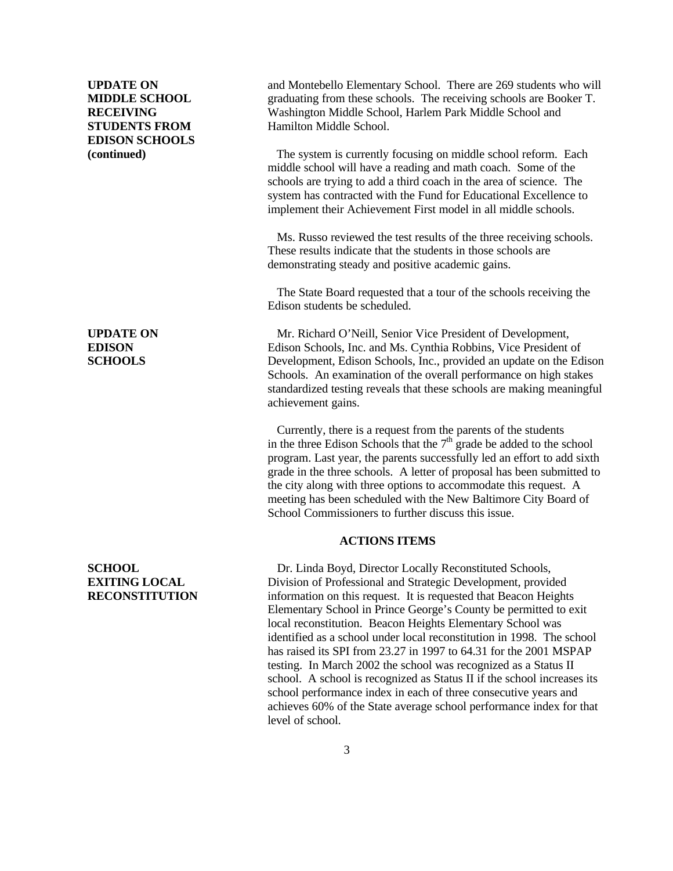# **EDISON SCHOOLS**

**UPDATE ON** and Montebello Elementary School. There are 269 students who will **MIDDLE SCHOOL** graduating from these schools. The receiving schools are Booker T. **RECEIVING** Washington Middle School, Harlem Park Middle School and **STUDENTS FROM** Hamilton Middle School.

**(continued)** The system is currently focusing on middle school reform. Each reform middle school will have a reading and math coach. Some of the schools are trying to add a third coach in the area of science. The system has contracted with the Fund for Educational Excellence to implement their Achievement First model in all middle schools.

> Ms. Russo reviewed the test results of the three receiving schools. These results indicate that the students in those schools are demonstrating steady and positive academic gains.

> The State Board requested that a tour of the schools receiving the Edison students be scheduled.

**UPDATE ON** Mr. Richard O'Neill, Senior Vice President of Development, **EDISON** Edison Schools, Inc. and Ms. Cynthia Robbins, Vice President of **SCHOOLS** Development, Edison Schools, Inc., provided an update on the Edison Schools. An examination of the overall performance on high stakes standardized testing reveals that these schools are making meaningful achievement gains.

> Currently, there is a request from the parents of the students in the three Edison Schools that the  $7<sup>th</sup>$  grade be added to the school program. Last year, the parents successfully led an effort to add sixth grade in the three schools. A letter of proposal has been submitted to the city along with three options to accommodate this request. A meeting has been scheduled with the New Baltimore City Board of School Commissioners to further discuss this issue.

## **ACTIONS ITEMS**

**SCHOOL** Dr. Linda Boyd, Director Locally Reconstituted Schools, **EXITING LOCAL** Division of Professional and Strategic Development, provided **RECONSTITUTION** information on this request. It is requested that Beacon Heights Elementary School in Prince George's County be permitted to exit local reconstitution. Beacon Heights Elementary School was identified as a school under local reconstitution in 1998. The school has raised its SPI from 23.27 in 1997 to 64.31 for the 2001 MSPAP testing. In March 2002 the school was recognized as a Status II school. A school is recognized as Status II if the school increases its school performance index in each of three consecutive years and achieves 60% of the State average school performance index for that level of school.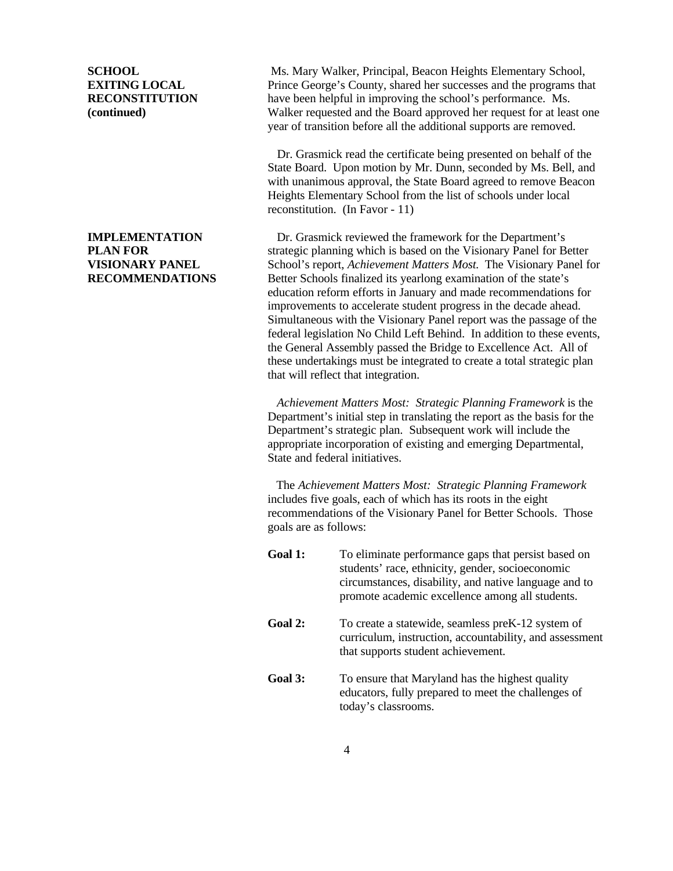**SCHOOL** Ms. Mary Walker, Principal, Beacon Heights Elementary School, **EXITING LOCAL** Prince George's County, shared her successes and the programs that **RECONSTITUTION** have been helpful in improving the school's performance. Ms. **(continued)** Walker requested and the Board approved her request for at least one year of transition before all the additional supports are removed.

> Dr. Grasmick read the certificate being presented on behalf of the State Board. Upon motion by Mr. Dunn, seconded by Ms. Bell, and with unanimous approval, the State Board agreed to remove Beacon Heights Elementary School from the list of schools under local reconstitution. (In Favor - 11)

**IMPLEMENTATION** Dr. Grasmick reviewed the framework for the Department's **PLAN FOR** Strategic planning which is based on the Visionary Panel for Better **VISIONARY PANEL** School's report, *Achievement Matters Most.* The Visionary Panel for **RECOMMENDATIONS** Better Schools finalized its yearlong examination of the state's education reform efforts in January and made recommendations for improvements to accelerate student progress in the decade ahead. Simultaneous with the Visionary Panel report was the passage of the federal legislation No Child Left Behind. In addition to these events, the General Assembly passed the Bridge to Excellence Act. All of these undertakings must be integrated to create a total strategic plan that will reflect that integration.

> *Achievement Matters Most: Strategic Planning Framework* is the Department's initial step in translating the report as the basis for the Department's strategic plan. Subsequent work will include the appropriate incorporation of existing and emerging Departmental, State and federal initiatives.

> The *Achievement Matters Most: Strategic Planning Framework* includes five goals, each of which has its roots in the eight recommendations of the Visionary Panel for Better Schools. Those goals are as follows:

| Goal 1: | To eliminate performance gaps that persist based on<br>students' race, ethnicity, gender, socioeconomic<br>circumstances, disability, and native language and to<br>promote academic excellence among all students. |
|---------|---------------------------------------------------------------------------------------------------------------------------------------------------------------------------------------------------------------------|
| Goal 2: | To create a statewide, seamless preK-12 system of<br>curriculum, instruction, accountability, and assessment<br>that supports student achievement.                                                                  |
| Goal 3: | To ensure that Maryland has the highest quality<br>educators, fully prepared to meet the challenges of<br>today's classrooms.                                                                                       |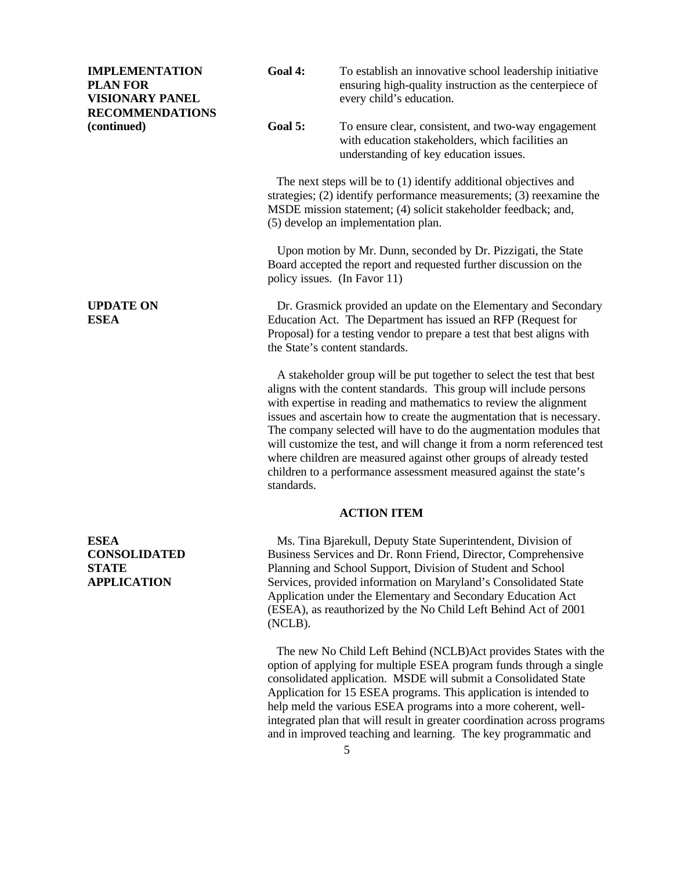| <b>IMPLEMENTATION</b><br><b>PLAN FOR</b><br><b>VISIONARY PANEL</b>       | Goal 4:                                                                                                                                                                                                                                     | To establish an innovative school leadership initiative<br>ensuring high-quality instruction as the centerpiece of<br>every child's education.                                                                                                                                                                                                                                                                                                                                                                                                                                         |
|--------------------------------------------------------------------------|---------------------------------------------------------------------------------------------------------------------------------------------------------------------------------------------------------------------------------------------|----------------------------------------------------------------------------------------------------------------------------------------------------------------------------------------------------------------------------------------------------------------------------------------------------------------------------------------------------------------------------------------------------------------------------------------------------------------------------------------------------------------------------------------------------------------------------------------|
| <b>RECOMMENDATIONS</b><br>(continued)                                    | Goal 5:                                                                                                                                                                                                                                     | To ensure clear, consistent, and two-way engagement<br>with education stakeholders, which facilities an<br>understanding of key education issues.                                                                                                                                                                                                                                                                                                                                                                                                                                      |
|                                                                          |                                                                                                                                                                                                                                             | The next steps will be to (1) identify additional objectives and<br>strategies; $(2)$ identify performance measurements; $(3)$ reexamine the<br>MSDE mission statement; (4) solicit stakeholder feedback; and,<br>(5) develop an implementation plan.                                                                                                                                                                                                                                                                                                                                  |
|                                                                          |                                                                                                                                                                                                                                             | Upon motion by Mr. Dunn, seconded by Dr. Pizzigati, the State<br>Board accepted the report and requested further discussion on the<br>policy issues. (In Favor 11)                                                                                                                                                                                                                                                                                                                                                                                                                     |
| <b>UPDATE ON</b><br><b>ESEA</b>                                          | Dr. Grasmick provided an update on the Elementary and Secondary<br>Education Act. The Department has issued an RFP (Request for<br>Proposal) for a testing vendor to prepare a test that best aligns with<br>the State's content standards. |                                                                                                                                                                                                                                                                                                                                                                                                                                                                                                                                                                                        |
|                                                                          | standards.                                                                                                                                                                                                                                  | A stakeholder group will be put together to select the test that best<br>aligns with the content standards. This group will include persons<br>with expertise in reading and mathematics to review the alignment<br>issues and ascertain how to create the augmentation that is necessary.<br>The company selected will have to do the augmentation modules that<br>will customize the test, and will change it from a norm referenced test<br>where children are measured against other groups of already tested<br>children to a performance assessment measured against the state's |
|                                                                          |                                                                                                                                                                                                                                             | <b>ACTION ITEM</b>                                                                                                                                                                                                                                                                                                                                                                                                                                                                                                                                                                     |
| <b>ESEA</b><br><b>CONSOLIDATED</b><br><b>STATE</b><br><b>APPLICATION</b> | (NCLB).                                                                                                                                                                                                                                     | Ms. Tina Bjarekull, Deputy State Superintendent, Division of<br>Business Services and Dr. Ronn Friend, Director, Comprehensive<br>Planning and School Support, Division of Student and School<br>Services, provided information on Maryland's Consolidated State<br>Application under the Elementary and Secondary Education Act<br>(ESEA), as reauthorized by the No Child Left Behind Act of 2001                                                                                                                                                                                    |
|                                                                          |                                                                                                                                                                                                                                             | The new No Child Left Behind (NCLB) Act provides States with the<br>option of applying for multiple ESEA program funds through a single                                                                                                                                                                                                                                                                                                                                                                                                                                                |

consolidated application. MSDE will submit a Consolidated State Application for 15 ESEA programs. This application is intended to help meld the various ESEA programs into a more coherent, wellintegrated plan that will result in greater coordination across programs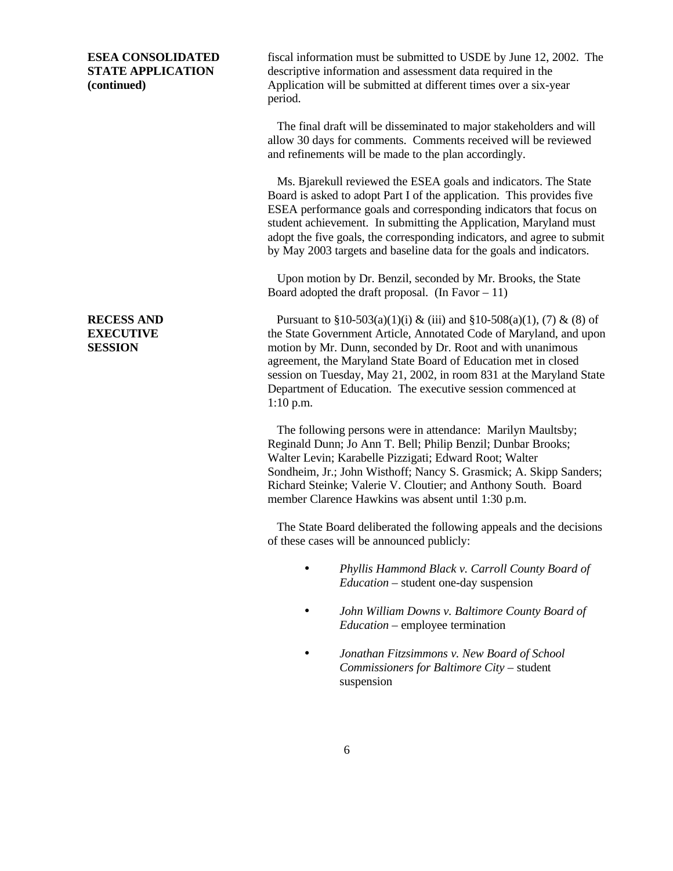**ESEA CONSOLIDATED** fiscal information must be submitted to USDE by June 12, 2002. The **STATE APPLICATION** descriptive information and assessment data required in the **(continued)** Application will be submitted at different times over a six-year period.

> The final draft will be disseminated to major stakeholders and will allow 30 days for comments. Comments received will be reviewed and refinements will be made to the plan accordingly.

 Ms. Bjarekull reviewed the ESEA goals and indicators. The State Board is asked to adopt Part I of the application. This provides five ESEA performance goals and corresponding indicators that focus on student achievement. In submitting the Application, Maryland must adopt the five goals, the corresponding indicators, and agree to submit by May 2003 targets and baseline data for the goals and indicators.

 Upon motion by Dr. Benzil, seconded by Mr. Brooks, the State Board adopted the draft proposal. (In Favor  $-11$ )

**RECESS AND** Pursuant to  $\S 10-503(a)(1)(i) \& (iii)$  and  $\S 10-508(a)(1)$ , (7) & (8) of **EXECUTIVE** the State Government Article, Annotated Code of Maryland, and upon **SESSION** motion by Mr. Dunn, seconded by Dr. Root and with unanimous agreement, the Maryland State Board of Education met in closed session on Tuesday, May 21, 2002, in room 831 at the Maryland State Department of Education. The executive session commenced at 1:10 p.m.

> The following persons were in attendance: Marilyn Maultsby; Reginald Dunn; Jo Ann T. Bell; Philip Benzil; Dunbar Brooks; Walter Levin; Karabelle Pizzigati; Edward Root; Walter Sondheim, Jr.; John Wisthoff; Nancy S. Grasmick; A. Skipp Sanders; Richard Steinke; Valerie V. Cloutier; and Anthony South. Board member Clarence Hawkins was absent until 1:30 p.m.

> The State Board deliberated the following appeals and the decisions of these cases will be announced publicly:

- *Phyllis Hammond Black v. Carroll County Board of Education –* student one-day suspension
- *John William Downs v. Baltimore County Board of Education –* employee termination
- *Jonathan Fitzsimmons v. New Board of School Commissioners for Baltimore City –* student suspension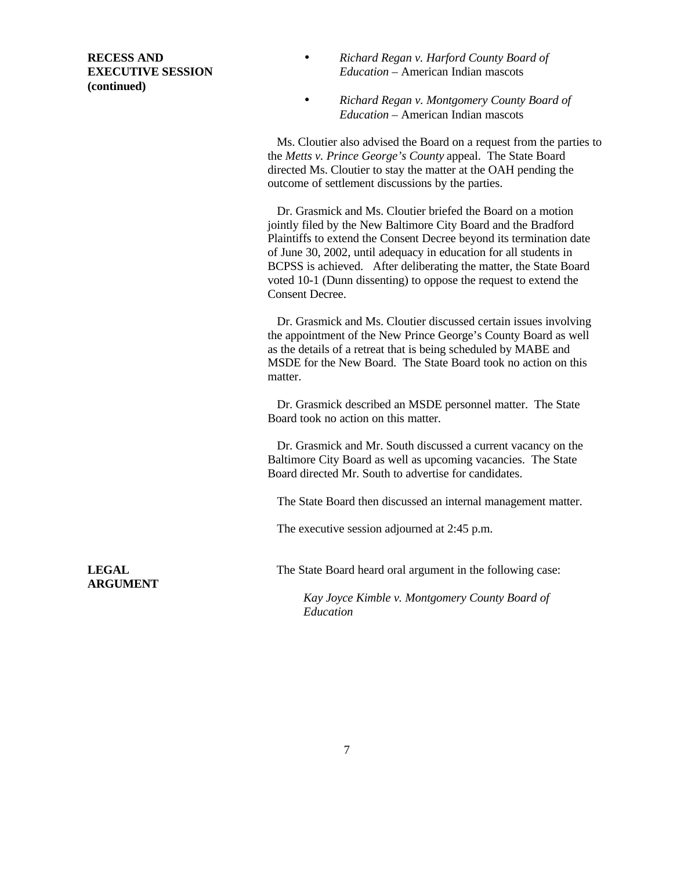**(continued)**

- **RECESS AND** *Richard Regan v. Harford County Board of* **EXECUTIVE SESSION** *Education –* American Indian mascots
	- *Richard Regan v. Montgomery County Board of Education –* American Indian mascots

 Ms. Cloutier also advised the Board on a request from the parties to the *Metts v. Prince George's County* appeal. The State Board directed Ms. Cloutier to stay the matter at the OAH pending the outcome of settlement discussions by the parties.

 Dr. Grasmick and Ms. Cloutier briefed the Board on a motion jointly filed by the New Baltimore City Board and the Bradford Plaintiffs to extend the Consent Decree beyond its termination date of June 30, 2002, until adequacy in education for all students in BCPSS is achieved. After deliberating the matter, the State Board voted 10-1 (Dunn dissenting) to oppose the request to extend the Consent Decree.

 Dr. Grasmick and Ms. Cloutier discussed certain issues involving the appointment of the New Prince George's County Board as well as the details of a retreat that is being scheduled by MABE and MSDE for the New Board. The State Board took no action on this matter.

 Dr. Grasmick described an MSDE personnel matter. The State Board took no action on this matter.

 Dr. Grasmick and Mr. South discussed a current vacancy on the Baltimore City Board as well as upcoming vacancies. The State Board directed Mr. South to advertise for candidates.

The State Board then discussed an internal management matter.

The executive session adjourned at 2:45 p.m.

**ARGUMENT**

**LEGAL** The State Board heard oral argument in the following case:

*Kay Joyce Kimble v. Montgomery County Board of Education*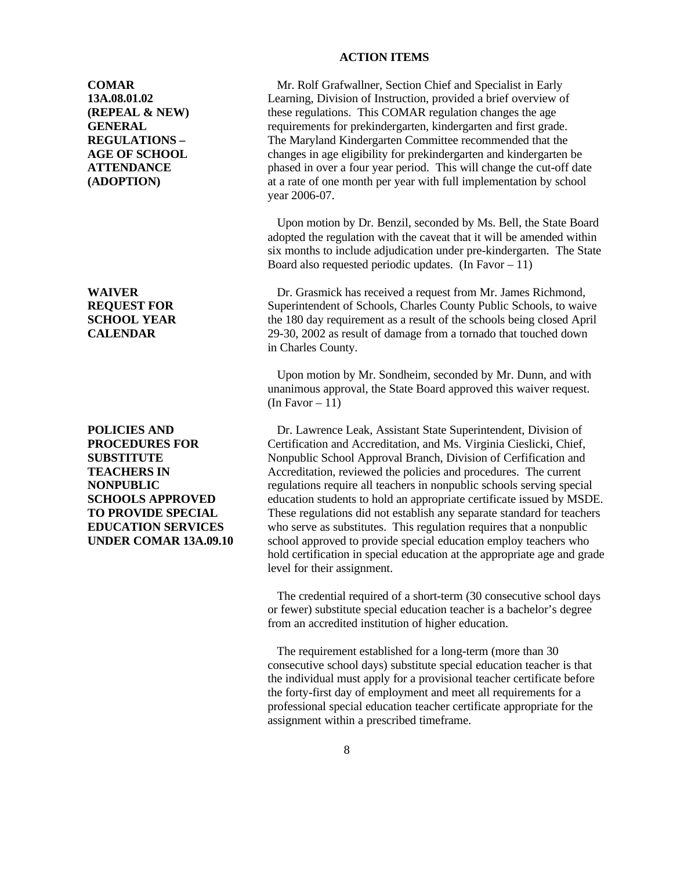### **ACTION ITEMS**

**COMAR** Mr. Rolf Grafwallner, Section Chief and Specialist in Early **13A.08.01.02** Learning, Division of Instruction, provided a brief overview of **(REPEAL & NEW)** these regulations. This COMAR regulation changes the age **GENERAL** requirements for prekindergarten, kindergarten and first grade. **REGULATIONS –** The Maryland Kindergarten Committee recommended that the AGE OF SCHOOL changes in age eligibility for prekindergarten and kindergarten be **ATTENDANCE** phased in over a four year period. This will change the cut-off date **(ADOPTION)** at a rate of one month per year with full implementation by school year 2006-07.

> Upon motion by Dr. Benzil, seconded by Ms. Bell, the State Board adopted the regulation with the caveat that it will be amended within six months to include adjudication under pre-kindergarten. The State Board also requested periodic updates. (In Favor  $-11$ )

WAIVER Dr. Grasmick has received a request from Mr. James Richmond, **REQUEST FOR** Superintendent of Schools, Charles County Public Schools, to waive **SCHOOL YEAR** the 180 day requirement as a result of the schools being closed April **CALENDAR** 29-30, 2002 as result of damage from a tornado that touched down in Charles County.

> Upon motion by Mr. Sondheim, seconded by Mr. Dunn, and with unanimous approval, the State Board approved this waiver request. (In Favor  $-11$ )

**POLICIES AND Dr.** Lawrence Leak, Assistant State Superintendent, Division of **PROCEDURES FOR** Certification and Accreditation, and Ms. Virginia Cieslicki, Chief, **SUBSTITUTE** Nonpublic School Approval Branch, Division of Cerfification and **TEACHERS IN** Accreditation, reviewed the policies and procedures. The current **NONPUBLIC** regulations require all teachers in nonpublic schools serving special **SCHOOLS APPROVED** education students to hold an appropriate certificate issued by MSDE. **TO PROVIDE SPECIAL** These regulations did not establish any separate standard for teachers **EDUCATION SERVICES** who serve as substitutes. This regulation requires that a nonpublic **UNDER COMAR 13A.09.10** school approved to provide special education employ teachers who hold certification in special education at the appropriate age and grade level for their assignment.

> The credential required of a short-term (30 consecutive school days or fewer) substitute special education teacher is a bachelor's degree from an accredited institution of higher education.

 The requirement established for a long-term (more than 30 consecutive school days) substitute special education teacher is that the individual must apply for a provisional teacher certificate before the forty-first day of employment and meet all requirements for a professional special education teacher certificate appropriate for the assignment within a prescribed timeframe.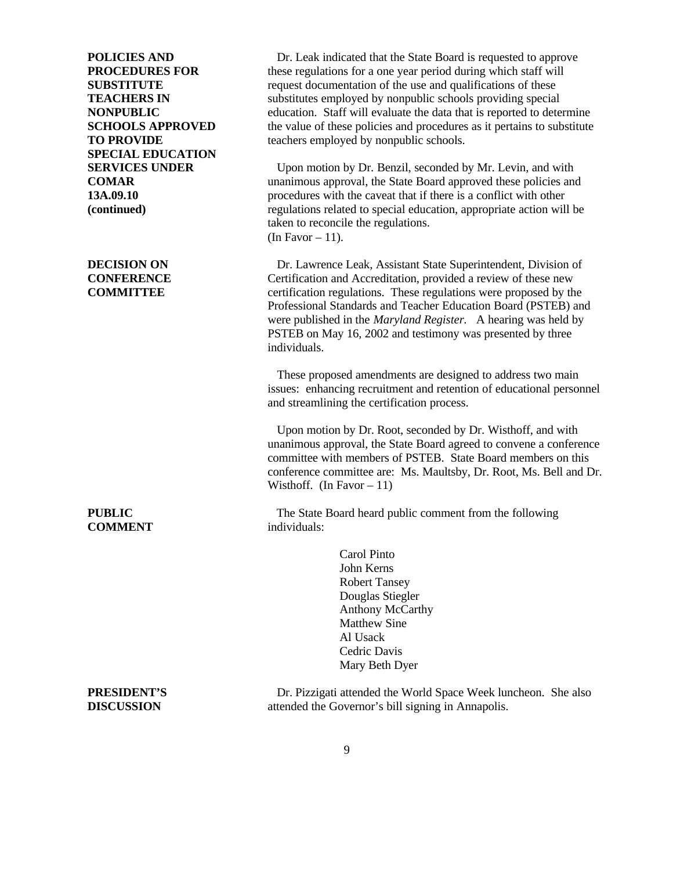**SPECIAL EDUCATION**

**COMMENT** individuals:

**POLICIES AND Dr.** Leak indicated that the State Board is requested to approve **PROCEDURES FOR** these regulations for a one year period during which staff will **SUBSTITUTE** request documentation of the use and qualifications of these **TEACHERS IN** substitutes employed by nonpublic schools providing special **NONPUBLIC** education. Staff will evaluate the data that is reported to determine **SCHOOLS APPROVED** the value of these policies and procedures as it pertains to substitute **TO PROVIDE** teachers employed by nonpublic schools.

**SERVICES UNDER** Upon motion by Dr. Benzil, seconded by Mr. Levin, and with **COMAR** unanimous approval, the State Board approved these policies and **13A.09.10 procedures** with the caveat that if there is a conflict with other **(continued)** regulations related to special education, appropriate action will be taken to reconcile the regulations. (In Favor  $-11$ ).

**DECISION ON Dr.** Lawrence Leak, Assistant State Superintendent, Division of **CONFERENCE** Certification and Accreditation, provided a review of these new **COMMITTEE** certification regulations. These regulations were proposed by the Professional Standards and Teacher Education Board (PSTEB) and were published in the *Maryland Register.* A hearing was held by PSTEB on May 16, 2002 and testimony was presented by three individuals.

> These proposed amendments are designed to address two main issues: enhancing recruitment and retention of educational personnel and streamlining the certification process.

> Upon motion by Dr. Root, seconded by Dr. Wisthoff, and with unanimous approval, the State Board agreed to convene a conference committee with members of PSTEB. State Board members on this conference committee are: Ms. Maultsby, Dr. Root, Ms. Bell and Dr. Wisthoff. (In Favor  $-11$ )

**PUBLIC** The State Board heard public comment from the following

Carol Pinto John Kerns Robert Tansey Douglas Stiegler Anthony McCarthy Matthew Sine Al Usack Cedric Davis Mary Beth Dyer

**PRESIDENT'S** Dr. Pizzigati attended the World Space Week luncheon. She also **DISCUSSION** attended the Governor's bill signing in Annapolis.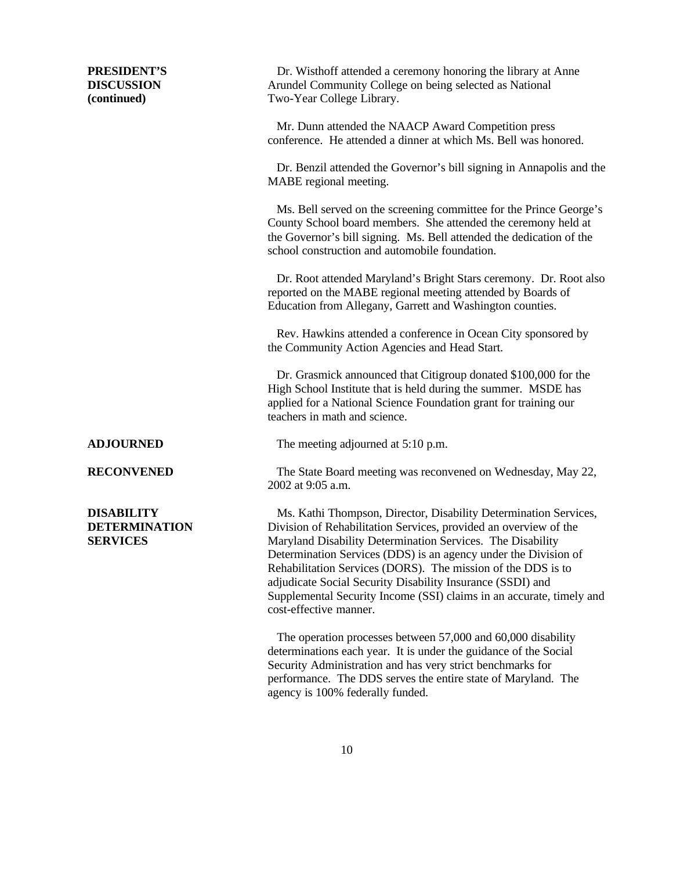**PRESIDENT'S** Dr. Wisthoff attended a ceremony honoring the library at Anne

**DISCUSSION** Arundel Community College on being selected as National **(continued)** Two-Year College Library. Mr. Dunn attended the NAACP Award Competition press conference. He attended a dinner at which Ms. Bell was honored. Dr. Benzil attended the Governor's bill signing in Annapolis and the MABE regional meeting. Ms. Bell served on the screening committee for the Prince George's County School board members. She attended the ceremony held at the Governor's bill signing. Ms. Bell attended the dedication of the school construction and automobile foundation. Dr. Root attended Maryland's Bright Stars ceremony. Dr. Root also reported on the MABE regional meeting attended by Boards of Education from Allegany, Garrett and Washington counties. Rev. Hawkins attended a conference in Ocean City sponsored by the Community Action Agencies and Head Start. Dr. Grasmick announced that Citigroup donated \$100,000 for the High School Institute that is held during the summer. MSDE has applied for a National Science Foundation grant for training our teachers in math and science. **ADJOURNED** The meeting adjourned at 5:10 p.m. **RECONVENED** The State Board meeting was reconvened on Wednesday, May 22, 2002 at 9:05 a.m. **DISABILITY** Ms. Kathi Thompson, Director, Disability Determination Services, **DETERMINATION** Division of Rehabilitation Services, provided an overview of the **SERVICES** Maryland Disability Determination Services. The Disability Determination Services (DDS) is an agency under the Division of Rehabilitation Services (DORS). The mission of the DDS is to adjudicate Social Security Disability Insurance (SSDI) and Supplemental Security Income (SSI) claims in an accurate, timely and

> The operation processes between 57,000 and 60,000 disability determinations each year. It is under the guidance of the Social Security Administration and has very strict benchmarks for performance. The DDS serves the entire state of Maryland. The agency is 100% federally funded.

cost-effective manner.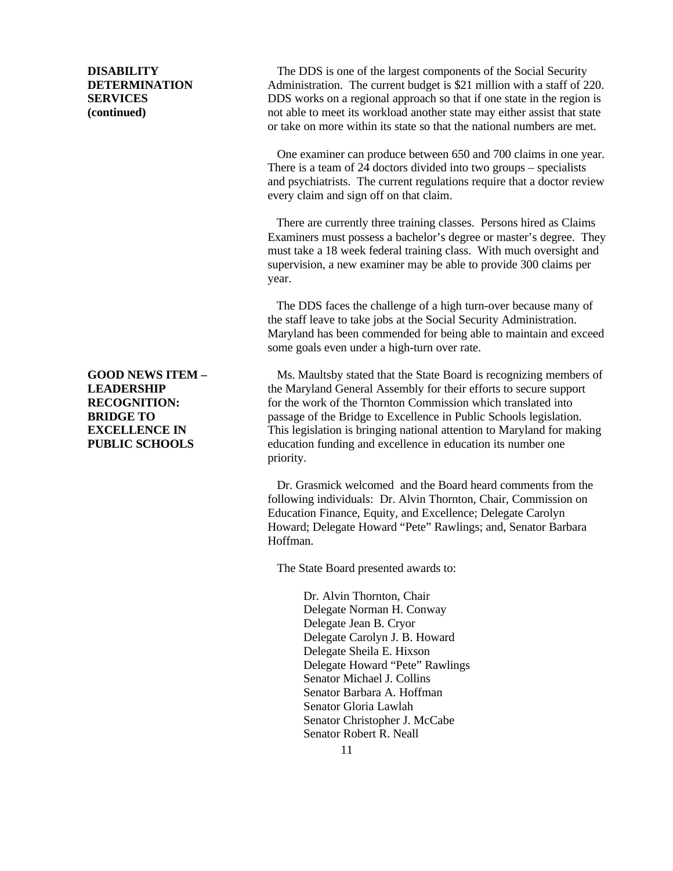**DISABILITY** The DDS is one of the largest components of the Social Security **DETERMINATION** Administration. The current budget is \$21 million with a staff of 220. **SERVICES** DDS works on a regional approach so that if one state in the region is **(continued)** not able to meet its workload another state may either assist that state or take on more within its state so that the national numbers are met.

> One examiner can produce between 650 and 700 claims in one year. There is a team of 24 doctors divided into two groups – specialists and psychiatrists. The current regulations require that a doctor review every claim and sign off on that claim.

> There are currently three training classes. Persons hired as Claims Examiners must possess a bachelor's degree or master's degree. They must take a 18 week federal training class. With much oversight and supervision, a new examiner may be able to provide 300 claims per year.

> The DDS faces the challenge of a high turn-over because many of the staff leave to take jobs at the Social Security Administration. Maryland has been commended for being able to maintain and exceed some goals even under a high-turn over rate.

**GOOD NEWS ITEM –** Ms. Maultsby stated that the State Board is recognizing members of **LEADERSHIP** the Maryland General Assembly for their efforts to secure support **RECOGNITION:** for the work of the Thornton Commission which translated into **BRIDGE TO passage of the Bridge to Excellence in Public Schools legislation. EXCELLENCE IN** This legislation is bringing national attention to Maryland for making **PUBLIC SCHOOLS** education funding and excellence in education its number one priority.

> Dr. Grasmick welcomed and the Board heard comments from the following individuals: Dr. Alvin Thornton, Chair, Commission on Education Finance, Equity, and Excellence; Delegate Carolyn Howard; Delegate Howard "Pete" Rawlings; and, Senator Barbara Hoffman.

The State Board presented awards to:

Dr. Alvin Thornton, Chair Delegate Norman H. Conway Delegate Jean B. Cryor Delegate Carolyn J. B. Howard Delegate Sheila E. Hixson Delegate Howard "Pete" Rawlings Senator Michael J. Collins Senator Barbara A. Hoffman Senator Gloria Lawlah Senator Christopher J. McCabe Senator Robert R. Neall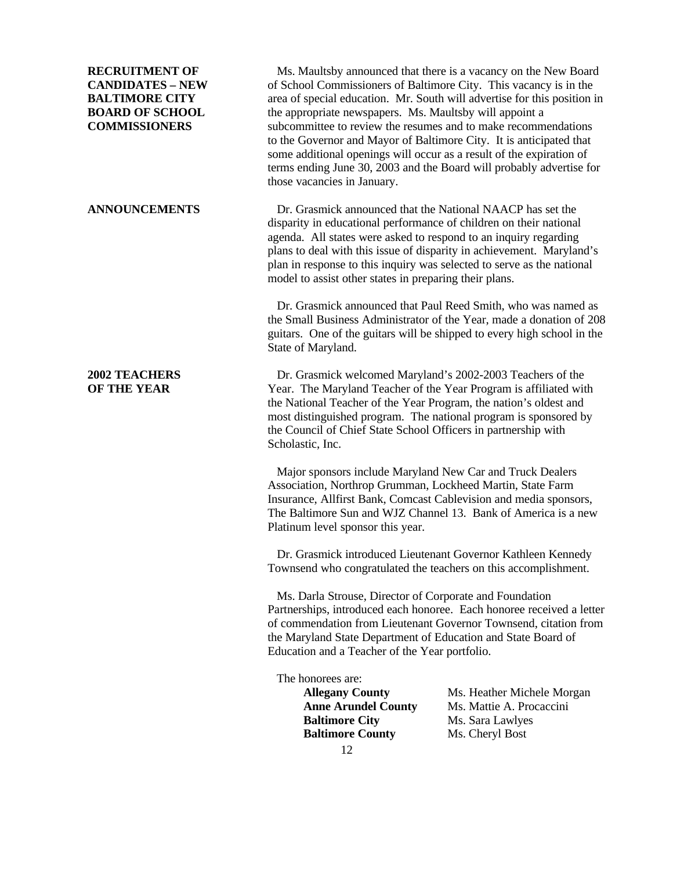**RECRUITMENT OF** Ms. Maultsby announced that there is a vacancy on the New Board **CANDIDATES – NEW** of School Commissioners of Baltimore City. This vacancy is in the **BALTIMORE CITY** area of special education. Mr. South will advertise for this position in **BOARD OF SCHOOL** the appropriate newspapers. Ms. Maultsby will appoint a **COMMISSIONERS** subcommittee to review the resumes and to make recommendations to the Governor and Mayor of Baltimore City. It is anticipated that some additional openings will occur as a result of the expiration of terms ending June 30, 2003 and the Board will probably advertise for those vacancies in January.

**ANNOUNCEMENTS** Dr. Grasmick announced that the National NAACP has set the disparity in educational performance of children on their national agenda. All states were asked to respond to an inquiry regarding plans to deal with this issue of disparity in achievement. Maryland's plan in response to this inquiry was selected to serve as the national model to assist other states in preparing their plans.

> Dr. Grasmick announced that Paul Reed Smith, who was named as the Small Business Administrator of the Year, made a donation of 208 guitars. One of the guitars will be shipped to every high school in the State of Maryland.

**2002 TEACHERS** Dr. Grasmick welcomed Maryland's 2002-2003 Teachers of the **OF THE YEAR** Year. The Maryland Teacher of the Year Program is affiliated with the National Teacher of the Year Program, the nation's oldest and most distinguished program. The national program is sponsored by the Council of Chief State School Officers in partnership with Scholastic, Inc.

> Major sponsors include Maryland New Car and Truck Dealers Association, Northrop Grumman, Lockheed Martin, State Farm Insurance, Allfirst Bank, Comcast Cablevision and media sponsors, The Baltimore Sun and WJZ Channel 13. Bank of America is a new Platinum level sponsor this year.

 Dr. Grasmick introduced Lieutenant Governor Kathleen Kennedy Townsend who congratulated the teachers on this accomplishment.

 Ms. Darla Strouse, Director of Corporate and Foundation Partnerships, introduced each honoree. Each honoree received a letter of commendation from Lieutenant Governor Townsend, citation from the Maryland State Department of Education and State Board of Education and a Teacher of the Year portfolio.

The honorees are:

12 **Baltimore City** Ms. Sara Lawlyes **Baltimore County** Ms. Cheryl Bost

**Allegany County** Ms. Heather Michele Morgan **Anne Arundel County** Ms. Mattie A. Procaccini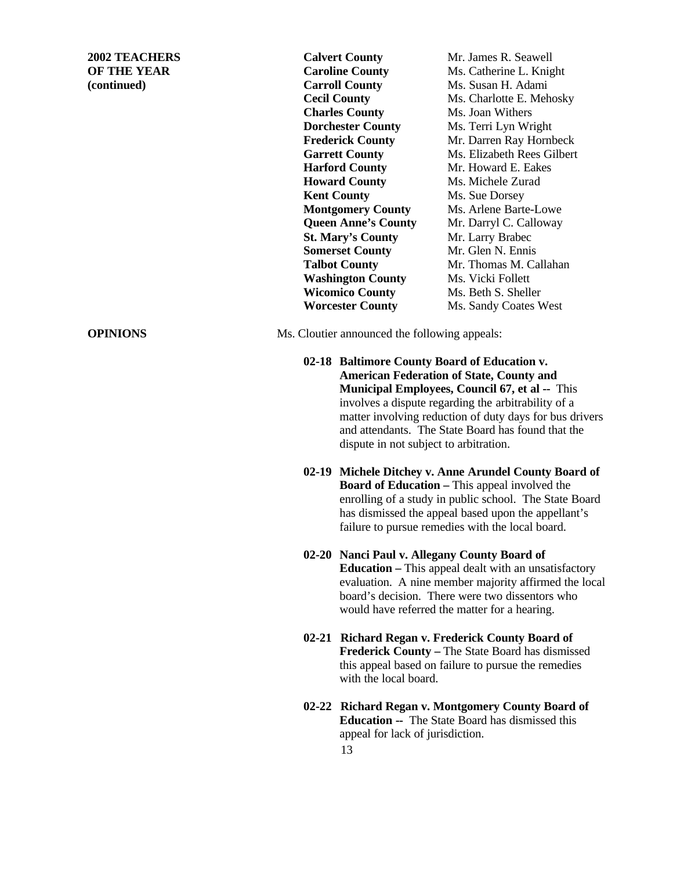**(continued) Carroll County** Ms. Susan H. Adami **Charles County** Ms. Joan Withers **Dorchester County** Ms. Terri Lyn Wright **Harford County** Mr. Howard E. Eakes **Howard County** Ms. Michele Zurad **Kent County** Ms. Sue Dorsey **St. Mary's County** Mr. Larry Brabec **Somerset County** Mr. Glen N. Ennis **Washington County** Ms. Vicki Follett **Wicomico County** Ms. Beth S. Sheller

**2002 TEACHERS Calvert County** Mr. James R. Seawell **OF THE YEAR Caroline County** Ms. Catherine L. Knight **Cecil County** Ms. Charlotte E. Mehosky **Frederick County** Mr. Darren Ray Hornbeck Garrett County Ms. Elizabeth Rees Gilbert **Montgomery County** Ms. Arlene Barte-Lowe **Queen Anne's County** Mr. Darryl C. Calloway **Talbot County** Mr. Thomas M. Callahan **Worcester County** Ms. Sandy Coates West

**OPINIONS** Ms. Cloutier announced the following appeals:

- **02-18 Baltimore County Board of Education v. American Federation of State, County and Municipal Employees, Council 67, et al --** This involves a dispute regarding the arbitrability of a matter involving reduction of duty days for bus drivers and attendants. The State Board has found that the dispute in not subject to arbitration.
- **02-19 Michele Ditchey v. Anne Arundel County Board of Board of Education – This appeal involved the** enrolling of a study in public school. The State Board has dismissed the appeal based upon the appellant's failure to pursue remedies with the local board.
- **02-20 Nanci Paul v. Allegany County Board of Education –** This appeal dealt with an unsatisfactory evaluation. A nine member majority affirmed the local board's decision. There were two dissentors who would have referred the matter for a hearing.
- **02-21 Richard Regan v. Frederick County Board of Frederick County –** The State Board has dismissed this appeal based on failure to pursue the remedies with the local board.
- **02-22 Richard Regan v. Montgomery County Board of Education --** The State Board has dismissed this appeal for lack of jurisdiction.
	- 13